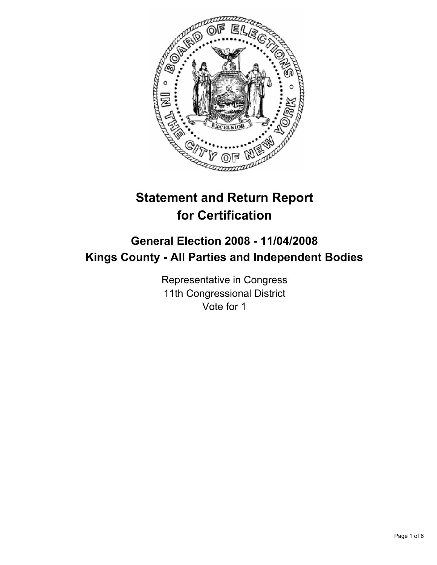

# **Statement and Return Report for Certification**

## **General Election 2008 - 11/04/2008 Kings County - All Parties and Independent Bodies**

Representative in Congress 11th Congressional District Vote for 1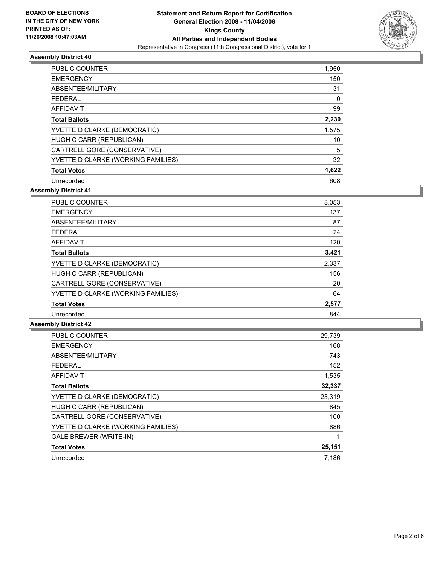

| <b>PUBLIC COUNTER</b>              | 1,950 |
|------------------------------------|-------|
| <b>EMERGENCY</b>                   | 150   |
| ABSENTEE/MILITARY                  | 31    |
| <b>FEDERAL</b>                     | 0     |
| AFFIDAVIT                          | 99    |
| <b>Total Ballots</b>               | 2,230 |
| YVETTE D CLARKE (DEMOCRATIC)       | 1,575 |
| HUGH C CARR (REPUBLICAN)           | 10    |
| CARTRELL GORE (CONSERVATIVE)       | 5     |
| YVETTE D CLARKE (WORKING FAMILIES) | 32    |
| <b>Total Votes</b>                 | 1,622 |
| Unrecorded                         | 608   |

**Assembly District 41**

| <b>PUBLIC COUNTER</b>              | 3,053 |
|------------------------------------|-------|
| <b>EMERGENCY</b>                   | 137   |
| ABSENTEE/MILITARY                  | 87    |
| <b>FEDERAL</b>                     | 24    |
| AFFIDAVIT                          | 120   |
| <b>Total Ballots</b>               | 3,421 |
| YVETTE D CLARKE (DEMOCRATIC)       | 2,337 |
| HUGH C CARR (REPUBLICAN)           | 156   |
| CARTRELL GORE (CONSERVATIVE)       | 20    |
| YVETTE D CLARKE (WORKING FAMILIES) | 64    |
| <b>Total Votes</b>                 | 2,577 |
| Unrecorded                         | 844   |

| <b>PUBLIC COUNTER</b>              | 29,739 |
|------------------------------------|--------|
| <b>EMERGENCY</b>                   | 168    |
| ABSENTEE/MILITARY                  | 743    |
| <b>FEDERAL</b>                     | 152    |
| <b>AFFIDAVIT</b>                   | 1,535  |
| <b>Total Ballots</b>               | 32,337 |
| YVETTE D CLARKE (DEMOCRATIC)       | 23,319 |
| HUGH C CARR (REPUBLICAN)           | 845    |
| CARTRELL GORE (CONSERVATIVE)       | 100    |
| YVETTE D CLARKE (WORKING FAMILIES) | 886    |
| <b>GALE BREWER (WRITE-IN)</b>      |        |
| <b>Total Votes</b>                 | 25,151 |
| Unrecorded                         | 7,186  |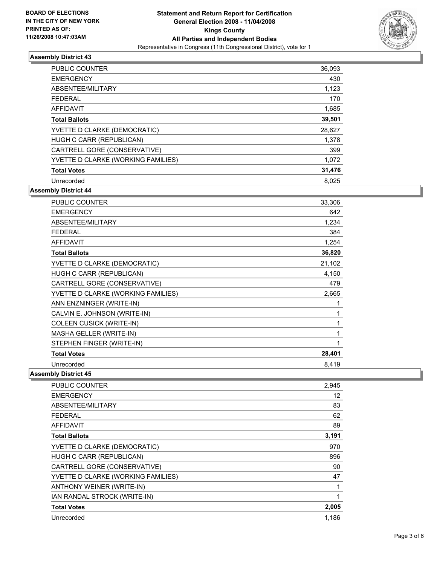

| PUBLIC COUNTER                     | 36,093 |
|------------------------------------|--------|
| <b>EMERGENCY</b>                   | 430    |
| ABSENTEE/MILITARY                  | 1,123  |
| <b>FEDERAL</b>                     | 170    |
| <b>AFFIDAVIT</b>                   | 1,685  |
| <b>Total Ballots</b>               | 39,501 |
| YVETTE D CLARKE (DEMOCRATIC)       | 28,627 |
| HUGH C CARR (REPUBLICAN)           | 1,378  |
| CARTRELL GORE (CONSERVATIVE)       | 399    |
| YVETTE D CLARKE (WORKING FAMILIES) | 1,072  |
| <b>Total Votes</b>                 | 31,476 |
| Unrecorded                         | 8.025  |

**Assembly District 44**

| <b>PUBLIC COUNTER</b>              | 33,306 |
|------------------------------------|--------|
| <b>EMERGENCY</b>                   | 642    |
| ABSENTEE/MILITARY                  | 1,234  |
| <b>FEDERAL</b>                     | 384    |
| <b>AFFIDAVIT</b>                   | 1,254  |
| <b>Total Ballots</b>               | 36,820 |
| YVETTE D CLARKE (DEMOCRATIC)       | 21,102 |
| HUGH C CARR (REPUBLICAN)           | 4,150  |
| CARTRELL GORE (CONSERVATIVE)       | 479    |
| YVETTE D CLARKE (WORKING FAMILIES) | 2,665  |
| ANN ENZNINGER (WRITE-IN)           |        |
| CALVIN E. JOHNSON (WRITE-IN)       |        |
| COLEEN CUSICK (WRITE-IN)           |        |
| MASHA GELLER (WRITE-IN)            |        |
| STEPHEN FINGER (WRITE-IN)          |        |
| <b>Total Votes</b>                 | 28,401 |
| Unrecorded                         | 8,419  |

| <b>PUBLIC COUNTER</b>              | 2,945 |
|------------------------------------|-------|
| <b>EMERGENCY</b>                   | 12    |
| ABSENTEE/MILITARY                  | 83    |
| FEDERAL                            | 62    |
| <b>AFFIDAVIT</b>                   | 89    |
| <b>Total Ballots</b>               | 3,191 |
| YVETTE D CLARKE (DEMOCRATIC)       | 970   |
| HUGH C CARR (REPUBLICAN)           | 896   |
| CARTRELL GORE (CONSERVATIVE)       | 90    |
| YVETTE D CLARKE (WORKING FAMILIES) | 47    |
| ANTHONY WEINER (WRITE-IN)          |       |
| IAN RANDAL STROCK (WRITE-IN)       |       |
| <b>Total Votes</b>                 | 2,005 |
| Unrecorded                         | 1,186 |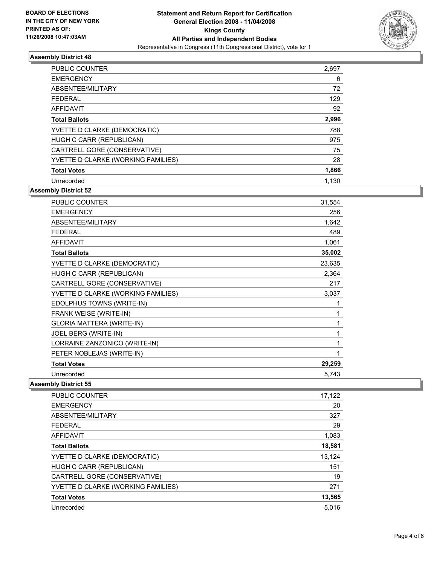

| <b>PUBLIC COUNTER</b>              | 2,697 |
|------------------------------------|-------|
| <b>EMERGENCY</b>                   | 6     |
| ABSENTEE/MILITARY                  | 72    |
| <b>FEDERAL</b>                     | 129   |
| AFFIDAVIT                          | 92    |
| <b>Total Ballots</b>               | 2,996 |
| YVETTE D CLARKE (DEMOCRATIC)       | 788   |
| HUGH C CARR (REPUBLICAN)           | 975   |
| CARTRELL GORE (CONSERVATIVE)       | 75    |
| YVETTE D CLARKE (WORKING FAMILIES) | 28    |
| <b>Total Votes</b>                 | 1,866 |
| Unrecorded                         | 1.130 |

**Assembly District 52**

| <b>PUBLIC COUNTER</b>              | 31,554 |
|------------------------------------|--------|
| <b>EMERGENCY</b>                   | 256    |
| ABSENTEE/MILITARY                  | 1,642  |
| <b>FEDERAL</b>                     | 489    |
| <b>AFFIDAVIT</b>                   | 1,061  |
| <b>Total Ballots</b>               | 35,002 |
| YVETTE D CLARKE (DEMOCRATIC)       | 23,635 |
| HUGH C CARR (REPUBLICAN)           | 2,364  |
| CARTRELL GORE (CONSERVATIVE)       | 217    |
| YVETTE D CLARKE (WORKING FAMILIES) | 3,037  |
| EDOLPHUS TOWNS (WRITE-IN)          |        |
| FRANK WEISE (WRITE-IN)             |        |
| GLORIA MATTERA (WRITE-IN)          |        |
| JOEL BERG (WRITE-IN)               |        |
| LORRAINE ZANZONICO (WRITE-IN)      |        |
| PETER NOBLEJAS (WRITE-IN)          |        |
| <b>Total Votes</b>                 | 29,259 |
| Unrecorded                         | 5,743  |

| <b>PUBLIC COUNTER</b>              | 17,122 |
|------------------------------------|--------|
| <b>EMERGENCY</b>                   | 20     |
| ABSENTEE/MILITARY                  | 327    |
| <b>FEDERAL</b>                     | 29     |
| <b>AFFIDAVIT</b>                   | 1,083  |
| <b>Total Ballots</b>               | 18,581 |
| YVETTE D CLARKE (DEMOCRATIC)       | 13,124 |
| HUGH C CARR (REPUBLICAN)           | 151    |
| CARTRELL GORE (CONSERVATIVE)       | 19     |
| YVETTE D CLARKE (WORKING FAMILIES) | 271    |
| <b>Total Votes</b>                 | 13,565 |
| Unrecorded                         | 5,016  |
|                                    |        |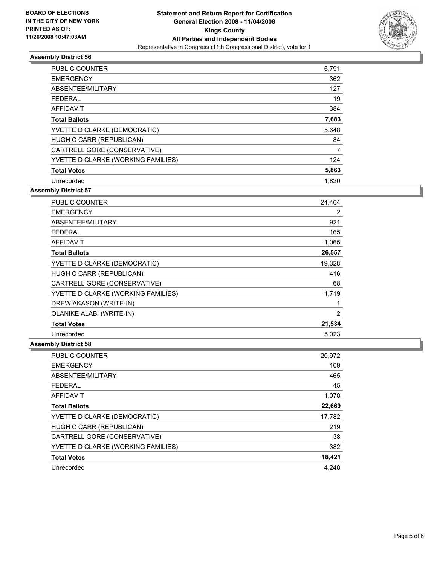

| PUBLIC COUNTER                     | 6,791 |
|------------------------------------|-------|
| <b>EMERGENCY</b>                   | 362   |
| ABSENTEE/MILITARY                  | 127   |
| <b>FEDERAL</b>                     | 19    |
| <b>AFFIDAVIT</b>                   | 384   |
| <b>Total Ballots</b>               | 7,683 |
| YVETTE D CLARKE (DEMOCRATIC)       | 5,648 |
| HUGH C CARR (REPUBLICAN)           | 84    |
| CARTRELL GORE (CONSERVATIVE)       |       |
| YVETTE D CLARKE (WORKING FAMILIES) | 124   |
| <b>Total Votes</b>                 | 5,863 |
| Unrecorded                         | 1,820 |

**Assembly District 57**

| <b>PUBLIC COUNTER</b>              | 24,404 |
|------------------------------------|--------|
| <b>EMERGENCY</b>                   | 2      |
| ABSENTEE/MILITARY                  | 921    |
| <b>FEDERAL</b>                     | 165    |
| <b>AFFIDAVIT</b>                   | 1,065  |
| <b>Total Ballots</b>               | 26,557 |
| YVETTE D CLARKE (DEMOCRATIC)       | 19,328 |
| HUGH C CARR (REPUBLICAN)           | 416    |
| CARTRELL GORE (CONSERVATIVE)       | 68     |
| YVETTE D CLARKE (WORKING FAMILIES) | 1,719  |
| DREW AKASON (WRITE-IN)             |        |
| <b>OLANIKE ALABI (WRITE-IN)</b>    | 2      |
| <b>Total Votes</b>                 | 21,534 |
| Unrecorded                         | 5,023  |

| <b>PUBLIC COUNTER</b>              | 20,972 |
|------------------------------------|--------|
| <b>EMERGENCY</b>                   | 109    |
| ABSENTEE/MILITARY                  | 465    |
| <b>FEDERAL</b>                     | 45     |
| AFFIDAVIT                          | 1,078  |
| <b>Total Ballots</b>               | 22,669 |
| YVETTE D CLARKE (DEMOCRATIC)       | 17,782 |
| HUGH C CARR (REPUBLICAN)           | 219    |
| CARTRELL GORE (CONSERVATIVE)       | 38     |
| YVETTE D CLARKE (WORKING FAMILIES) | 382    |
| <b>Total Votes</b>                 | 18,421 |
| Unrecorded                         | 4.248  |